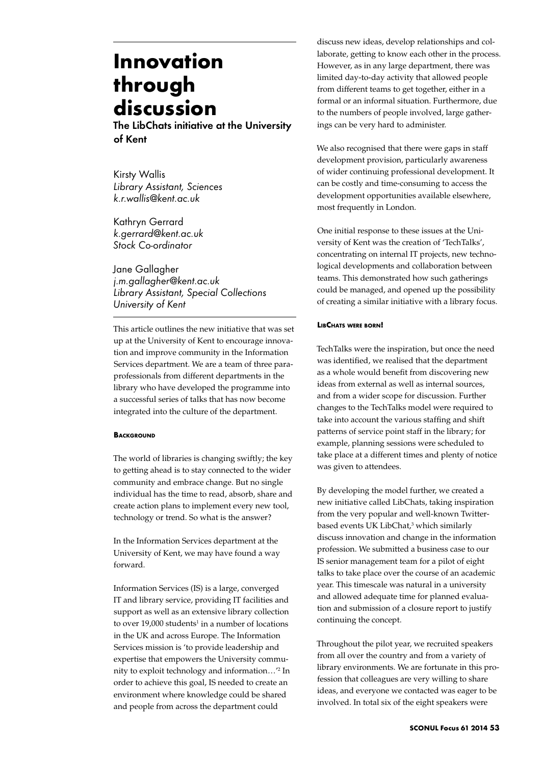# **Innovation through discussion**

The LibChats initiative at the University of Kent

Kirsty Wallis *Library Assistant, Sciences k.r.wallis@kent.ac.uk*

Kathryn Gerrard *k.gerrard@kent.ac.uk Stock Co-ordinator*

Jane Gallagher *j.m.gallagher@kent.ac.uk Library Assistant, Special Collections University of Kent*

This article outlines the new initiative that was set up at the University of Kent to encourage innovation and improve community in the Information Services department. We are a team of three paraprofessionals from different departments in the library who have developed the programme into a successful series of talks that has now become integrated into the culture of the department.

### **BACKGROUND**

The world of libraries is changing swiftly; the key to getting ahead is to stay connected to the wider community and embrace change. But no single individual has the time to read, absorb, share and create action plans to implement every new tool, technology or trend. So what is the answer?

In the Information Services department at the University of Kent, we may have found a way forward.

Information Services (IS) is a large, converged IT and library service, providing IT facilities and support as well as an extensive library collection to over  $19,000$  students<sup>1</sup> in a number of locations in the UK and across Europe. The Information Services mission is 'to provide leadership and expertise that empowers the University community to exploit technology and information…'2 In order to achieve this goal, IS needed to create an environment where knowledge could be shared and people from across the department could

discuss new ideas, develop relationships and collaborate, getting to know each other in the process. However, as in any large department, there was limited day-to-day activity that allowed people from different teams to get together, either in a formal or an informal situation. Furthermore, due to the numbers of people involved, large gatherings can be very hard to administer.

We also recognised that there were gaps in staff development provision, particularly awareness of wider continuing professional development. It can be costly and time-consuming to access the development opportunities available elsewhere, most frequently in London.

One initial response to these issues at the University of Kent was the creation of 'TechTalks', concentrating on internal IT projects, new technological developments and collaboration between teams. This demonstrated how such gatherings could be managed, and opened up the possibility of creating a similar initiative with a library focus.

## **LibChats were born!**

TechTalks were the inspiration, but once the need was identified, we realised that the department as a whole would benefit from discovering new ideas from external as well as internal sources, and from a wider scope for discussion. Further changes to the TechTalks model were required to take into account the various staffing and shift patterns of service point staff in the library; for example, planning sessions were scheduled to take place at a different times and plenty of notice was given to attendees.

By developing the model further, we created a new initiative called LibChats, taking inspiration from the very popular and well-known Twitterbased events UK LibChat,<sup>3</sup> which similarly discuss innovation and change in the information profession. We submitted a business case to our IS senior management team for a pilot of eight talks to take place over the course of an academic year. This timescale was natural in a university and allowed adequate time for planned evaluation and submission of a closure report to justify continuing the concept.

Throughout the pilot year, we recruited speakers from all over the country and from a variety of library environments. We are fortunate in this profession that colleagues are very willing to share ideas, and everyone we contacted was eager to be involved. In total six of the eight speakers were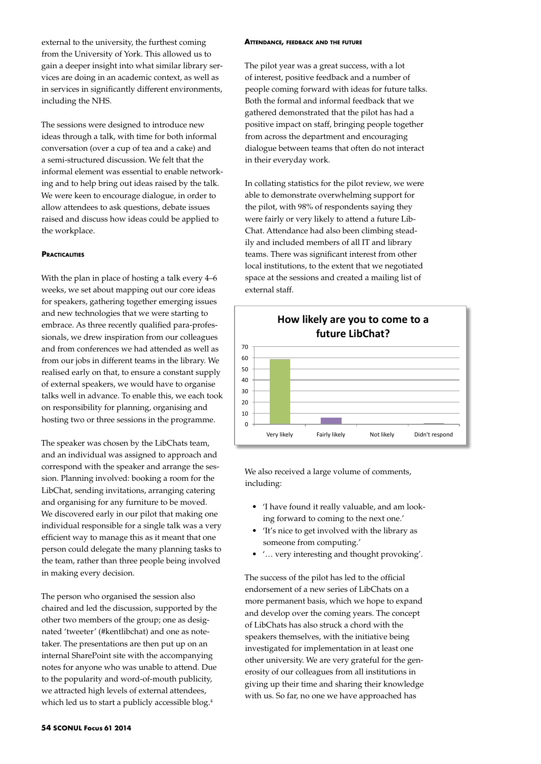external to the university, the furthest coming from the University of York. This allowed us to gain a deeper insight into what similar library services are doing in an academic context, as well as in services in significantly different environments, including the NHS.

The sessions were designed to introduce new ideas through a talk, with time for both informal conversation (over a cup of tea and a cake) and a semi-structured discussion. We felt that the informal element was essential to enable networking and to help bring out ideas raised by the talk. We were keen to encourage dialogue, in order to allow attendees to ask questions, debate issues raised and discuss how ideas could be applied to the workplace.

### **PRACTICALITIES**

With the plan in place of hosting a talk every 4–6 weeks, we set about mapping out our core ideas for speakers, gathering together emerging issues and new technologies that we were starting to embrace. As three recently qualified para-professionals, we drew inspiration from our colleagues and from conferences we had attended as well as from our jobs in different teams in the library. We realised early on that, to ensure a constant supply of external speakers, we would have to organise talks well in advance. To enable this, we each took on responsibility for planning, organising and hosting two or three sessions in the programme.

The speaker was chosen by the LibChats team, and an individual was assigned to approach and correspond with the speaker and arrange the session. Planning involved: booking a room for the LibChat, sending invitations, arranging catering and organising for any furniture to be moved. We discovered early in our pilot that making one individual responsible for a single talk was a very efficient way to manage this as it meant that one person could delegate the many planning tasks to the team, rather than three people being involved in making every decision.

The person who organised the session also chaired and led the discussion, supported by the other two members of the group; one as designated 'tweeter' (#kentlibchat) and one as notetaker. The presentations are then put up on an internal SharePoint site with the accompanying notes for anyone who was unable to attend. Due to the popularity and word-of-mouth publicity, we attracted high levels of external attendees, which led us to start a publicly accessible blog.<sup>4</sup>

#### **Attendance, feedback and the future**

The pilot year was a great success, with a lot of interest, positive feedback and a number of people coming forward with ideas for future talks. Both the formal and informal feedback that we gathered demonstrated that the pilot has had a positive impact on staff, bringing people together from across the department and encouraging dialogue between teams that often do not interact in their everyday work.

In collating statistics for the pilot review, we were able to demonstrate overwhelming support for the pilot, with 98% of respondents saying they were fairly or very likely to attend a future Lib-Chat. Attendance had also been climbing steadily and included members of all IT and library teams. There was significant interest from other local institutions, to the extent that we negotiated space at the sessions and created a mailing list of external staff.



We also received a large volume of comments, including:

- • 'I have found it really valuable, and am looking forward to coming to the next one.'
- • 'It's nice to get involved with the library as someone from computing.'
- '... very interesting and thought provoking'.

The success of the pilot has led to the official endorsement of a new series of LibChats on a more permanent basis, which we hope to expand and develop over the coming years. The concept of LibChats has also struck a chord with the speakers themselves, with the initiative being investigated for implementation in at least one other university. We are very grateful for the generosity of our colleagues from all institutions in giving up their time and sharing their knowledge with us. So far, no one we have approached has